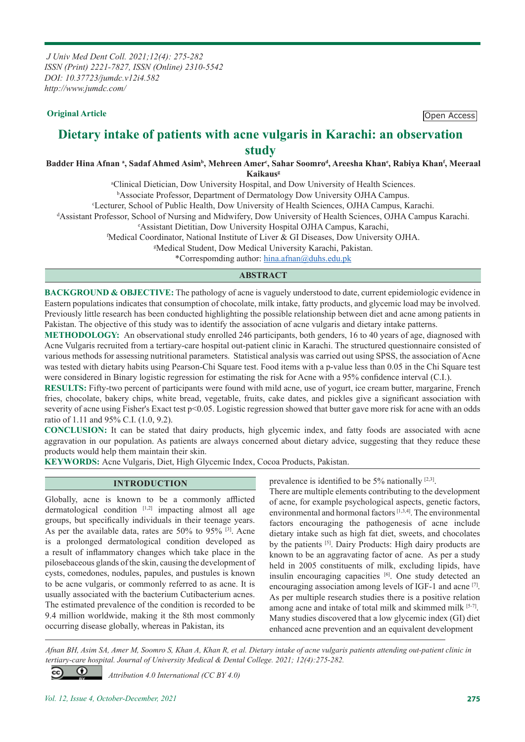*J Univ Med Dent Coll. 2021;12(4): 275-282 ISSN (Print) 2221-7827, ISSN (Online) 2310-5542 DOI: 10.37723/jumdc.v12i4.582 http://www.jumdc.com/*

**Original Article Open Access** 

# **Dietary intake of patients with acne vulgaris in Karachi: an observation study**

Badder Hina Afnan <sup>a</sup>, Sadaf Ahmed Asim<sup>b</sup>, Mehreen Amer<sup>c</sup>, Sahar Soomro<sup>d</sup>, Areesha Khan<sup>c</sup>, Rabiya Khan<sup>f</sup>, Meeraal **Kaikausg**

a Clinical Dietician, Dow University Hospital, and Dow University of Health Sciences.

b Associate Professor, Department of Dermatology Dow University OJHA Campus.

c Lecturer, School of Public Health, Dow University of Health Sciences, OJHA Campus, Karachi.

d Assistant Professor, School of Nursing and Midwifery, Dow University of Health Sciences, OJHA Campus Karachi.

e Assistant Dietitian, Dow University Hospital OJHA Campus, Karachi,

f Medical Coordinator, National Institute of Liver & GI Diseases, Dow University OJHA.

g Medical Student, Dow Medical University Karachi, Pakistan.

\*Correspomding author: hina.afnan@duhs.edu.pk

#### **ABSTRACT**

**BACKGROUND & OBJECTIVE:** The pathology of acne is vaguely understood to date, current epidemiologic evidence in Eastern populations indicates that consumption of chocolate, milk intake, fatty products, and glycemic load may be involved. Previously little research has been conducted highlighting the possible relationship between diet and acne among patients in Pakistan. The objective of this study was to identify the association of acne vulgaris and dietary intake patterns.

**METHODOLOGY:** An observational study enrolled 246 participants, both genders, 16 to 40 years of age, diagnosed with Acne Vulgaris recruited from a tertiary-care hospital out-patient clinic in Karachi. The structured questionnaire consisted of various methods for assessing nutritional parameters. Statistical analysis was carried out using SPSS, the association of Acne was tested with dietary habits using Pearson-Chi Square test. Food items with a p-value less than 0.05 in the Chi Square test were considered in Binary logistic regression for estimating the risk for Acne with a 95% confidence interval (C.I.).

**RESULTS:** Fifty-two percent of participants were found with mild acne, use of yogurt, ice cream butter, margarine, French fries, chocolate, bakery chips, white bread, vegetable, fruits, cake dates, and pickles give a significant association with severity of acne using Fisher's Exact test p<0.05. Logistic regression showed that butter gave more risk for acne with an odds ratio of 1.11 and 95% C.I. (1.0, 9.2).

**CONCLUSION:** It can be stated that dairy products, high glycemic index, and fatty foods are associated with acne aggravation in our population. As patients are always concerned about dietary advice, suggesting that they reduce these products would help them maintain their skin.

**KEYWORDS:** Acne Vulgaris, Diet, High Glycemic Index, Cocoa Products, Pakistan.

#### **INTRODUCTION**

Globally, acne is known to be a commonly afflicted dermatological condition [1,2] impacting almost all age groups, but specifically individuals in their teenage years. As per the available data, rates are 50% to 95% [3]. Acne is a prolonged dermatological condition developed as a result of inflammatory changes which take place in the pilosebaceous glands of the skin, causing the development of cysts, comedones, nodules, papules, and pustules is known to be acne vulgaris, or commonly referred to as acne. It is usually associated with the bacterium Cutibacterium acnes. The estimated prevalence of the condition is recorded to be 9.4 million worldwide, making it the 8th most commonly occurring disease globally, whereas in Pakistan, its

prevalence is identified to be 5% nationally [2,3].

There are multiple elements contributing to the development of acne, for example psychological aspects, genetic factors, environmental and hormonal factors [1,3,4]. The environmental factors encouraging the pathogenesis of acne include dietary intake such as high fat diet, sweets, and chocolates by the patients [5]. Dairy Products: High dairy products are known to be an aggravating factor of acne. As per a study held in 2005 constituents of milk, excluding lipids, have insulin encouraging capacities [6]. One study detected an encouraging association among levels of IGF-1 and acne [7]. As per multiple research studies there is a positive relation among acne and intake of total milk and skimmed milk [5-7]. Many studies discovered that a low glycemic index (GI) diet enhanced acne prevention and an equivalent development

*Afnan BH, Asim SA, Amer M, Soomro S, Khan A, Khan R, et al. Dietary intake of acne vulgaris patients attending out-patient clinic in tertiary-care hospital. Journal of University Medical & Dental College. 2021; 12(4):275-282.*

 *Attribution 4.0 International (CC BY 4.0)*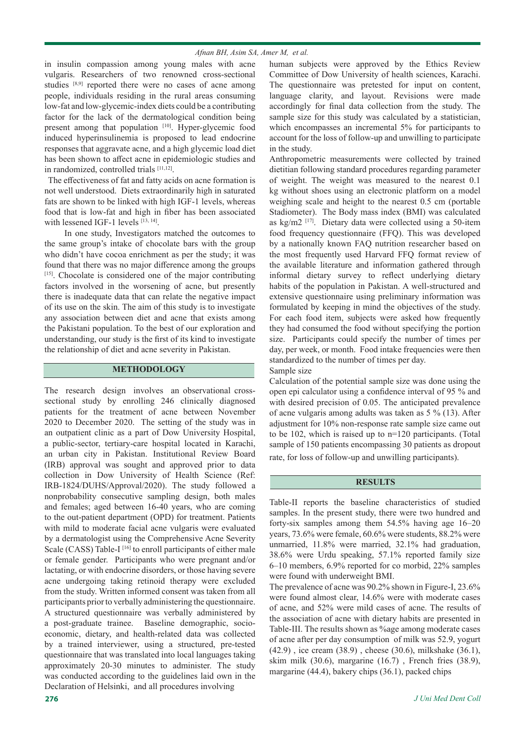in insulin compassion among young males with acne vulgaris. Researchers of two renowned cross-sectional studies [8,9] reported there were no cases of acne among people, individuals residing in the rural areas consuming low-fat and low-glycemic-index diets could be a contributing factor for the lack of the dermatological condition being present among that population [10]. Hyper-glycemic food induced hyperinsulinemia is proposed to lead endocrine responses that aggravate acne, and a high glycemic load diet has been shown to affect acne in epidemiologic studies and in randomized, controlled trials [11,12].

 The effectiveness of fat and fatty acids on acne formation is not well understood. Diets extraordinarily high in saturated fats are shown to be linked with high IGF-1 levels, whereas food that is low-fat and high in fiber has been associated with lessened IGF-1 levels [13, 14].

 In one study, Investigators matched the outcomes to the same group's intake of chocolate bars with the group who didn't have cocoa enrichment as per the study; it was found that there was no major difference among the groups [15]. Chocolate is considered one of the major contributing factors involved in the worsening of acne, but presently there is inadequate data that can relate the negative impact of its use on the skin. The aim of this study is to investigate any association between diet and acne that exists among the Pakistani population. To the best of our exploration and understanding, our study is the first of its kind to investigate the relationship of diet and acne severity in Pakistan.

### **METHODOLOGY**

The research design involves an observational crosssectional study by enrolling 246 clinically diagnosed patients for the treatment of acne between November 2020 to December 2020. The setting of the study was in an outpatient clinic as a part of Dow University Hospital, a public-sector, tertiary-care hospital located in Karachi, an urban city in Pakistan. Institutional Review Board (IRB) approval was sought and approved prior to data collection in Dow University of Health Science (Ref: IRB-1824/DUHS/Approval/2020). The study followed a nonprobability consecutive sampling design, both males and females; aged between 16-40 years, who are coming to the out-patient department (OPD) for treatment. Patients with mild to moderate facial acne vulgaris were evaluated by a dermatologist using the Comprehensive Acne Severity Scale (CASS) Table-I<sup>[16]</sup> to enroll participants of either male or female gender. Participants who were pregnant and/or lactating, or with endocrine disorders, or those having severe acne undergoing taking retinoid therapy were excluded from the study. Written informed consent was taken from all participants prior to verbally administering the questionnaire. A structured questionnaire was verbally administered by a post-graduate trainee. Baseline demographic, socioeconomic, dietary, and health-related data was collected by a trained interviewer, using a structured, pre-tested questionnaire that was translated into local languages taking approximately 20-30 minutes to administer. The study was conducted according to the guidelines laid own in the Declaration of Helsinki, and all procedures involving

human subjects were approved by the Ethics Review Committee of Dow University of health sciences, Karachi. The questionnaire was pretested for input on content, language clarity, and layout. Revisions were made accordingly for final data collection from the study. The sample size for this study was calculated by a statistician, which encompasses an incremental 5% for participants to account for the loss of follow-up and unwilling to participate in the study.

Anthropometric measurements were collected by trained dietitian following standard procedures regarding parameter of weight. The weight was measured to the nearest 0.1 kg without shoes using an electronic platform on a model weighing scale and height to the nearest 0.5 cm (portable Stadiometer). The Body mass index (BMI) was calculated as kg/m2 [17]. Dietary data were collected using a 50-item food frequency questionnaire (FFQ). This was developed by a nationally known FAQ nutrition researcher based on the most frequently used Harvard FFQ format review of the available literature and information gathered through informal dietary survey to reflect underlying dietary habits of the population in Pakistan. A well-structured and extensive questionnaire using preliminary information was formulated by keeping in mind the objectives of the study. For each food item, subjects were asked how frequently they had consumed the food without specifying the portion size. Participants could specify the number of times per day, per week, or month. Food intake frequencies were then standardized to the number of times per day.

Sample size

Calculation of the potential sample size was done using the open epi calculator using a confidence interval of 95 % and with desired precision of 0.05. The anticipated prevalence of acne vulgaris among adults was taken as 5 % (13). After adjustment for 10% non-response rate sample size came out to be 102, which is raised up to n=120 participants. (Total sample of 150 patients encompassing 30 patients as dropout rate, for loss of follow-up and unwilling participants).

#### **RESULTS**

Table-II reports the baseline characteristics of studied samples. In the present study, there were two hundred and forty-six samples among them 54.5% having age 16–20 years, 73.6% were female, 60.6% were students, 88.2% were unmarried, 11.8% were married, 32.1% had graduation, 38.6% were Urdu speaking, 57.1% reported family size 6–10 members, 6.9% reported for co morbid, 22% samples were found with underweight BMI.

The prevalence of acne was 90.2% shown in Figure-I, 23.6% were found almost clear, 14.6% were with moderate cases of acne, and 52% were mild cases of acne. The results of the association of acne with dietary habits are presented in Table-III. The results shown as %age among moderate cases of acne after per day consumption of milk was 52.9, yogurt (42.9) , ice cream (38.9) , cheese (30.6), milkshake (36.1), skim milk (30.6), margarine (16.7) , French fries (38.9), margarine (44.4), bakery chips (36.1), packed chips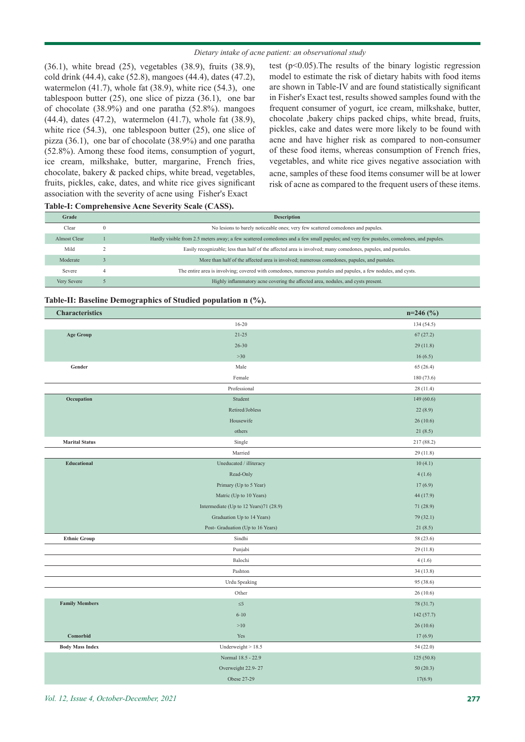#### *Dietary intake of acne patient: an observational study*

(36.1), white bread (25), vegetables (38.9), fruits (38.9), cold drink (44.4), cake (52.8), mangoes (44.4), dates (47.2), watermelon (41.7), whole fat (38.9), white rice (54.3), one tablespoon butter (25), one slice of pizza (36.1), one bar of chocolate (38.9%) and one paratha (52.8%). mangoes (44.4), dates (47.2), watermelon (41.7), whole fat (38.9), white rice (54.3), one tablespoon butter (25), one slice of pizza (36.1), one bar of chocolate (38.9%) and one paratha (52.8%). Among these food items, consumption of yogurt, ice cream, milkshake, butter, margarine, French fries, chocolate, bakery & packed chips, white bread, vegetables, fruits, pickles, cake, dates, and white rice gives significant association with the severity of acne using Fisher's Exact

test (p<0.05).The results of the binary logistic regression model to estimate the risk of dietary habits with food items are shown in Table-IV and are found statistically significant in Fisher's Exact test, results showed samples found with the frequent consumer of yogurt, ice cream, milkshake, butter, chocolate ,bakery chips packed chips, white bread, fruits, pickles, cake and dates were more likely to be found with acne and have higher risk as compared to non-consumer of these food items, whereas consumption of French fries, vegetables, and white rice gives negative association with acne, samples of these food items consumer will be at lower risk of acne as compared to the frequent users of these items.

#### **Table-I: Comprehensive Acne Severity Scale (CASS).**

| Grade        |        | <b>Description</b>                                                                                                                     |
|--------------|--------|----------------------------------------------------------------------------------------------------------------------------------------|
| Clear        | $^{0}$ | No lesions to barely noticeable ones; very few scattered comedones and papules.                                                        |
| Almost Clear |        | Hardly visible from 2.5 meters away; a few scattered comedones and a few small papules; and very few pustules, comedones, and papules. |
| Mild         |        | Easily recognizable; less than half of the affected area is involved; many comedones, papules, and pustules.                           |
| Moderate     |        | More than half of the affected area is involved; numerous comedones, papules, and pustules.                                            |
| Severe       |        | The entire area is involving; covered with comedones, numerous pustules and papules, a few nodules, and cysts.                         |
| Very Severe  |        | Highly inflammatory acne covering the affected area, nodules, and cysts present.                                                       |
|              |        |                                                                                                                                        |

#### **Table-II: Baseline Demographics of Studied population n (%).**

| <b>Characteristics</b> |                                        | $n=246$ (%) |
|------------------------|----------------------------------------|-------------|
|                        | $16 - 20$                              | 134 (54.5)  |
| <b>Age Group</b>       | $21 - 25$                              | 67(27.2)    |
|                        | $26 - 30$                              | 29(11.8)    |
|                        | $>30$                                  | 16(6.5)     |
| Gender                 | Male                                   | 65(26.4)    |
|                        | Female                                 | 180 (73.6)  |
|                        | Professional                           | 28(11.4)    |
| Occupation             | Student                                | 149 (60.6)  |
|                        | Retired/Jobless                        | 22(8.9)     |
|                        | Housewife                              | 26(10.6)    |
|                        | others                                 | 21(8.5)     |
| <b>Marital Status</b>  | Single                                 | 217 (88.2)  |
|                        | Married                                | 29(11.8)    |
| <b>Educational</b>     | Uneducated / illiteracy                | 10(4.1)     |
|                        | Read-Only                              | 4(1.6)      |
|                        | Primary (Up to 5 Year)                 | 17(6.9)     |
|                        | Matric (Up to 10 Years)                | 44 (17.9)   |
|                        | Intermediate (Up to 12 Years)71 (28.9) | 71(28.9)    |
|                        | Graduation Up to 14 Years)             | 79 (32.1)   |
|                        | Post- Graduation (Up to 16 Years)      | 21(8.5)     |
| <b>Ethnic Group</b>    | Sindhi                                 | 58 (23.6)   |
|                        | Punjabi                                | 29(11.8)    |
|                        | Balochi                                | 4(1.6)      |
|                        | Pashton                                | 34(13.8)    |
|                        | Urdu Speaking                          | 95 (38.6)   |
|                        | Other                                  | 26(10.6)    |
| <b>Family Members</b>  | $\leq 5$                               | 78 (31.7)   |
|                        | $6 - 10$                               | 142 (57.7)  |
|                        | >10                                    | 26(10.6)    |
| Comorbid               | Yes                                    | 17(6.9)     |
| <b>Body Mass Index</b> | Underweight $> 18.5$                   | 54(22.0)    |
|                        | Normal 18.5 - 22.9                     | 125(50.8)   |
|                        | Overweight 22.9-27                     | 50(20.3)    |
|                        | Obese 27-29                            | 17(6.9)     |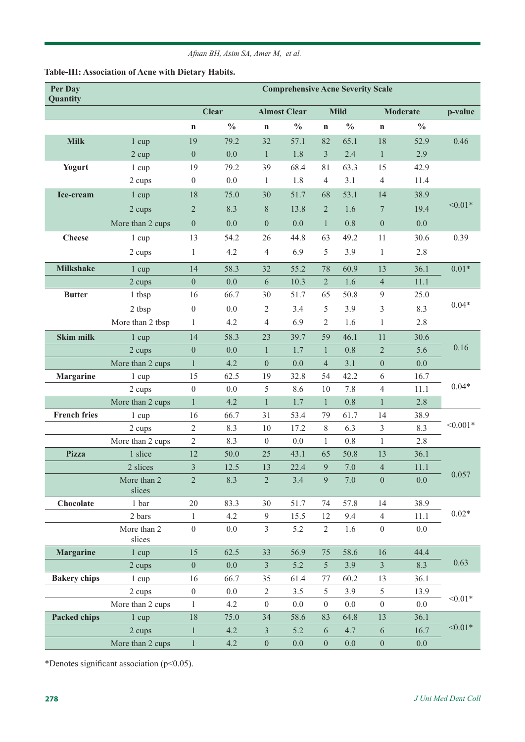| Per Day<br>Quantity | <b>Comprehensive Acne Severity Scale</b> |                  |               |                     |               |                  |               |                  |               |            |
|---------------------|------------------------------------------|------------------|---------------|---------------------|---------------|------------------|---------------|------------------|---------------|------------|
|                     |                                          | <b>Clear</b>     |               | <b>Almost Clear</b> |               | <b>Mild</b>      |               | <b>Moderate</b>  |               | p-value    |
|                     |                                          | $\mathbf n$      | $\frac{0}{0}$ | $\mathbf n$         | $\frac{0}{0}$ | $\mathbf n$      | $\frac{0}{0}$ | $\mathbf n$      | $\frac{0}{0}$ |            |
| <b>Milk</b>         | 1 cup                                    | 19               | 79.2          | 32                  | 57.1          | 82               | 65.1          | $18\,$           | 52.9          | 0.46       |
|                     | 2 cup                                    | $\overline{0}$   | 0.0           | $\mathbf{1}$        | 1.8           | $\mathfrak{Z}$   | 2.4           | $\mathbf{1}$     | 2.9           |            |
| <b>Yogurt</b>       | 1 cup                                    | 19               | 79.2          | 39                  | 68.4          | 81               | 63.3          | 15               | 42.9          |            |
|                     | 2 cups                                   | $\overline{0}$   | 0.0           | 1                   | 1.8           | $\overline{4}$   | 3.1           | $\overline{4}$   | 11.4          |            |
| Ice-cream           | $1 \text{ cup}$                          | 18               | 75.0          | 30                  | 51.7          | 68               | 53.1          | 14               | 38.9          |            |
|                     | 2 cups                                   | $\overline{2}$   | 8.3           | $\, 8$              | 13.8          | $\overline{2}$   | 1.6           | $\overline{7}$   | 19.4          | $< 0.01*$  |
|                     | More than 2 cups                         | $\overline{0}$   | 0.0           | $\boldsymbol{0}$    | 0.0           | $\mathbf{1}$     | 0.8           | $\theta$         | 0.0           |            |
| <b>Cheese</b>       | 1 cup                                    | 13               | 54.2          | 26                  | 44.8          | 63               | 49.2          | 11               | 30.6          | 0.39       |
|                     | 2 cups                                   | $\mathbf{1}$     | 4.2           | $\overline{4}$      | 6.9           | 5                | 3.9           | $\mathbf{1}$     | 2.8           |            |
| <b>Milkshake</b>    | 1 cup                                    | 14               | 58.3          | 32                  | 55.2          | 78               | 60.9          | 13               | 36.1          | $0.01*$    |
|                     | 2 cups                                   | $\boldsymbol{0}$ | 0.0           | $\sqrt{6}$          | 10.3          | $\sqrt{2}$       | 1.6           | $\overline{4}$   | 11.1          |            |
| <b>Butter</b>       | 1 tbsp                                   | 16               | 66.7          | 30                  | 51.7          | 65               | 50.8          | $\overline{9}$   | 25.0          |            |
|                     | 2 tbsp                                   | $\theta$         | 0.0           | $\overline{c}$      | 3.4           | 5                | 3.9           | 3                | 8.3           | $0.04*$    |
|                     | More than 2 tbsp                         | 1                | 4.2           | $\overline{4}$      | 6.9           | 2                | 1.6           | $\mathbf{1}$     | 2.8           |            |
| <b>Skim milk</b>    |                                          | 14               | 58.3          | 23                  | 39.7          | 59               | 46.1          | 11               | 30.6          |            |
|                     | $1 \text{ cup}$<br>2 cups                | $\boldsymbol{0}$ | 0.0           | $\mathbf{1}$        | 1.7           | $\mathbf{1}$     | 0.8           | $\overline{2}$   | 5.6           | 0.16       |
|                     | More than 2 cups                         | $\mathbf{1}$     | 4.2           | $\boldsymbol{0}$    | 0.0           | $\overline{4}$   | 3.1           | $\boldsymbol{0}$ | 0.0           |            |
| <b>Margarine</b>    | 1 cup                                    | 15               | 62.5          | 19                  | 32.8          | 54               | 42.2          | 6                | 16.7          |            |
|                     | 2 cups                                   | $\boldsymbol{0}$ | 0.0           | 5                   | 8.6           | 10               | 7.8           | $\overline{4}$   | 11.1          | $0.04*$    |
|                     | More than 2 cups                         | $\mathbf{1}$     | 4.2           | $\mathbf{1}$        | 1.7           | $\mathbf{1}$     | 0.8           | $\mathbf{1}$     | 2.8           |            |
| <b>French fries</b> | 1 cup                                    | 16               | 66.7          | 31                  | 53.4          | 79               | 61.7          | 14               | 38.9          |            |
|                     | 2 cups                                   | $\sqrt{2}$       | 8.3           | 10                  | 17.2          | $8\,$            | 6.3           | $\mathfrak{Z}$   | 8.3           | $< 0.001*$ |
|                     | More than 2 cups                         | $\overline{2}$   | 8.3           | $\boldsymbol{0}$    | 0.0           | $\mathbf{1}$     | 0.8           | $\mathbf{1}$     | 2.8           |            |
| <b>Pizza</b>        | 1 slice                                  | 12               | 50.0          | 25                  | 43.1          | 65               | 50.8          | 13               | 36.1          |            |
|                     | 2 slices                                 | 3                | 12.5          | 13                  | 22.4          | 9                | 7.0           | $\overline{4}$   | 11.1          |            |
|                     | More than 2<br>slices                    | $\sqrt{2}$       | 8.3           | $\sqrt{2}$          | 3.4           | 9                | 7.0           | $\boldsymbol{0}$ | 0.0           | 0.057      |
| Chocolate           | 1 bar                                    | 20               | 83.3          | 30                  | 51.7          | 74               | 57.8          | 14               | 38.9          |            |
|                     | 2 bars                                   | $\mathbf{1}$     | 4.2           | $\overline{9}$      | 15.5          | 12               | 9.4           | $\overline{4}$   | 11.1          | $0.02*$    |
|                     | More than 2<br>slices                    | $\boldsymbol{0}$ | 0.0           | $\mathfrak{Z}$      | 5.2           | $\overline{2}$   | 1.6           | $\boldsymbol{0}$ | 0.0           |            |
| <b>Margarine</b>    | 1 cup                                    | 15               | 62.5          | 33                  | 56.9          | 75               | 58.6          | 16               | 44.4          |            |
|                     | 2 cups                                   | $\boldsymbol{0}$ | 0.0           | $\mathfrak{Z}$      | 5.2           | $\mathfrak{S}$   | 3.9           | $\mathfrak{Z}$   | 8.3           | 0.63       |
| <b>Bakery chips</b> | $1 \text{ cup}$                          | 16               | 66.7          | 35                  | 61.4          | 77               | 60.2          | 13               | 36.1          |            |
|                     | 2 cups                                   | $\boldsymbol{0}$ | 0.0           | $\overline{2}$      | 3.5           | 5                | 3.9           | 5                | 13.9          | $< 0.01*$  |
|                     | More than 2 cups                         | $\mathbf{1}$     | 4.2           | $\overline{0}$      | 0.0           | $\boldsymbol{0}$ | 0.0           | $\boldsymbol{0}$ | 0.0           |            |
| <b>Packed chips</b> | $1 \text{ cup}$                          | $18\,$           | 75.0          | 34                  | 58.6          | 83               | 64.8          | 13               | 36.1          |            |
|                     | 2 cups                                   | $\mathbf{1}$     | 4.2           | $\mathfrak{Z}$      | 5.2           | $\sqrt{6}$       | 4.7           | 6                | 16.7          | $< 0.01*$  |
|                     | More than 2 cups                         | $\mathbf{1}$     | 4.2           | $\boldsymbol{0}$    | $0.0\,$       | $\boldsymbol{0}$ | 0.0           | $\boldsymbol{0}$ | 0.0           |            |

### **Table-III: Association of Acne with Dietary Habits.**

\*Denotes significant association (p<0.05).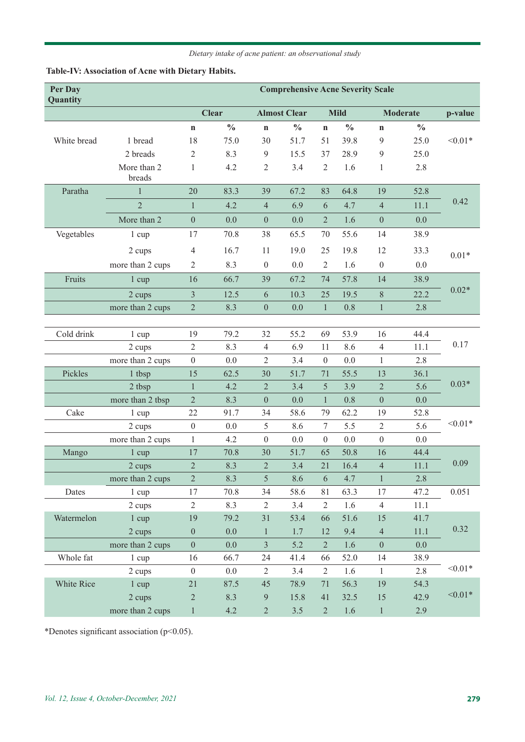### *Dietary intake of acne patient: an observational study*

## **Table-IV: Association of Acne with Dietary Habits.**

| Per Day<br>Quantity |                       | <b>Comprehensive Acne Severity Scale</b> |               |                     |               |                  |               |                  |               |           |
|---------------------|-----------------------|------------------------------------------|---------------|---------------------|---------------|------------------|---------------|------------------|---------------|-----------|
|                     |                       | <b>Clear</b>                             |               | <b>Almost Clear</b> |               | <b>Mild</b>      |               | <b>Moderate</b>  |               | p-value   |
|                     |                       | $\mathbf n$                              | $\frac{0}{0}$ | $\mathbf n$         | $\frac{0}{0}$ | $\mathbf n$      | $\frac{0}{0}$ | $\mathbf n$      | $\frac{0}{0}$ |           |
| White bread         | 1 bread               | 18                                       | 75.0          | 30                  | 51.7          | 51               | 39.8          | 9                | 25.0          | $< 0.01*$ |
|                     | 2 breads              | $\mathfrak{2}$                           | 8.3           | 9                   | 15.5          | 37               | 28.9          | $\mathfrak{g}$   | 25.0          |           |
|                     | More than 2<br>breads | 1                                        | 4.2           | $\overline{2}$      | 3.4           | $\overline{2}$   | 1.6           | $\mathbf{1}$     | 2.8           |           |
| Paratha             | 1                     | 20                                       | 83.3          | 39                  | 67.2          | 83               | 64.8          | 19               | 52.8          |           |
|                     | $\overline{2}$        | $\mathbf{1}$                             | 4.2           | $\overline{4}$      | 6.9           | 6                | 4.7           | $\overline{4}$   | 11.1          | 0.42      |
|                     | More than 2           | $\boldsymbol{0}$                         | 0.0           | $\boldsymbol{0}$    | 0.0           | $\overline{2}$   | 1.6           | $\mathbf{0}$     | 0.0           |           |
| Vegetables          | 1 cup                 | 17                                       | 70.8          | 38                  | 65.5          | 70               | 55.6          | 14               | 38.9          |           |
|                     | 2 cups                | $\overline{4}$                           | 16.7          | 11                  | 19.0          | 25               | 19.8          | 12               | 33.3          | $0.01*$   |
|                     | more than 2 cups      | $\overline{2}$                           | 8.3           | $\boldsymbol{0}$    | 0.0           | $\overline{2}$   | 1.6           | $\boldsymbol{0}$ | 0.0           |           |
| Fruits              | $1 \text{ cup}$       | 16                                       | 66.7          | 39                  | 67.2          | 74               | 57.8          | 14               | 38.9          |           |
|                     | 2 cups                | $\overline{3}$                           | 12.5          | 6                   | 10.3          | 25               | 19.5          | $8\,$            | 22.2          | $0.02*$   |
|                     | more than 2 cups      | $\overline{2}$                           | 8.3           | $\boldsymbol{0}$    | 0.0           | $\mathbf{1}$     | 0.8           | $\mathbf{1}$     | 2.8           |           |
|                     |                       |                                          |               |                     |               |                  |               |                  |               |           |
| Cold drink          | $1 \text{ cup}$       | 19                                       | 79.2          | 32                  | 55.2          | 69               | 53.9          | 16               | 44.4          |           |
|                     | 2 cups                | $\overline{2}$                           | 8.3           | $\overline{4}$      | 6.9           | 11               | 8.6           | $\overline{4}$   | 11.1          | 0.17      |
|                     | more than 2 cups      | $\boldsymbol{0}$                         | 0.0           | $\overline{2}$      | 3.4           | $\boldsymbol{0}$ | 0.0           | $\mathbf{1}$     | 2.8           |           |
| Pickles             | 1 tbsp                | 15                                       | 62.5          | 30                  | 51.7          | 71               | 55.5          | 13               | 36.1          |           |
|                     | 2 tbsp                | $\mathbf{1}$                             | 4.2           | $\overline{2}$      | 3.4           | 5                | 3.9           | $\overline{2}$   | 5.6           | $0.03*$   |
|                     | more than 2 tbsp      | $\overline{2}$                           | 8.3           | $\boldsymbol{0}$    | 0.0           | $\mathbf{1}$     | 0.8           | $\mathbf{0}$     | 0.0           |           |
| Cake                | $1 \text{ cup}$       | 22                                       | 91.7          | 34                  | 58.6          | 79               | 62.2          | 19               | 52.8          |           |
|                     | 2 cups                | $\overline{0}$                           | 0.0           | 5                   | 8.6           | 7                | 5.5           | $\mathbf{2}$     | 5.6           | $< 0.01*$ |
|                     | more than 2 cups      | $\mathbf{1}$                             | 4.2           | $\boldsymbol{0}$    | 0.0           | $\boldsymbol{0}$ | 0.0           | $\boldsymbol{0}$ | 0.0           |           |
| Mango               | $1 \text{ cup}$       | 17                                       | 70.8          | 30                  | 51.7          | 65               | 50.8          | 16               | 44.4          |           |
|                     | 2 cups                | $\overline{2}$                           | 8.3           | $\overline{2}$      | 3.4           | 21               | 16.4          | $\overline{4}$   | 11.1          | 0.09      |
|                     | more than 2 cups      | $\overline{2}$                           | 8.3           | 5                   | 8.6           | 6                | 4.7           | $\mathbf{1}$     | 2.8           |           |
| Dates               | $1 \text{ cup}$       | 17                                       | 70.8          | 34                  | 58.6          | 81               | 63.3          | 17               | 47.2          | 0.051     |
|                     | 2 cups                | $\overline{2}$                           | 8.3           | $\overline{2}$      | 3.4           | $\overline{2}$   | 1.6           | $\overline{4}$   | 11.1          |           |
| Watermelon          | 1 cup                 | 19                                       | 79.2          | 31                  | 53.4          | 66               | 51.6          | 15               | 41.7          |           |
|                     | 2 cups                | $\boldsymbol{0}$                         | 0.0           | $\mathbf{1}$        | 1.7           | 12               | 9.4           | $\overline{4}$   | 11.1          | 0.32      |
|                     | more than 2 cups      | $\boldsymbol{0}$                         | 0.0           | $\overline{3}$      | 5.2           | $\overline{2}$   | 1.6           | $\boldsymbol{0}$ | 0.0           |           |
| Whole fat           | 1 cup                 | 16                                       | 66.7          | 24                  | 41.4          | 66               | 52.0          | 14               | 38.9          |           |
|                     | 2 cups                | $\boldsymbol{0}$                         | $0.0\,$       | $\overline{2}$      | 3.4           | $\overline{2}$   | 1.6           | $\mathbf{1}$     | 2.8           | $< 0.01*$ |
| White Rice          | 1 cup                 | 21                                       | 87.5          | 45                  | 78.9          | 71               | 56.3          | 19               | 54.3          |           |
|                     | 2 cups                | $\mathbf{2}$                             | 8.3           | $\overline{9}$      | 15.8          | 41               | 32.5          | 15               | 42.9          | $< 0.01*$ |
|                     | more than 2 cups      | $\mathbf{1}$                             | 4.2           | $\overline{2}$      | 3.5           | $\overline{2}$   | 1.6           | $\mathbf{1}$     | 2.9           |           |

\*Denotes significant association (p<0.05).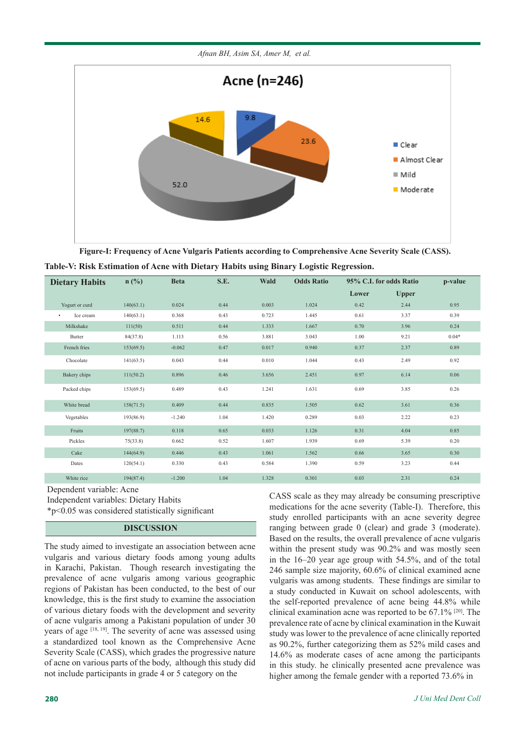

**Figure-I: Frequency of Acne Vulgaris Patients according to Comprehensive Acne Severity Scale (CASS).**

| Table-V: Risk Estimation of Acne with Dietary Habits using Binary Logistic Regression. |  |  |  |
|----------------------------------------------------------------------------------------|--|--|--|
|                                                                                        |  |  |  |

| <b>Dietary Habits</b>  | $n$ (%)   | <b>Beta</b> | S.E. | <b>Wald</b> | <b>Odds Ratio</b> | 95% C.I. for odds Ratio |              | p-value |
|------------------------|-----------|-------------|------|-------------|-------------------|-------------------------|--------------|---------|
|                        |           |             |      |             |                   | Lower                   | <b>Upper</b> |         |
| Yogurt or curd         | 140(63.1) | 0.024       | 0.44 | 0.003       | 1.024             | 0.42                    | 2.44         | 0.95    |
| Ice cream<br>$\bullet$ | 140(63.1) | 0.368       | 0.43 | 0.723       | 1.445             | 0.61                    | 3.37         | 0.39    |
| Milkshake              | 111(50)   | 0.511       | 0.44 | 1.333       | 1.667             | 0.70                    | 3.96         | 0.24    |
| Butter                 | 84(37.8)  | 1.113       | 0.56 | 3.881       | 3.043             | 1.00                    | 9.21         | $0.04*$ |
| French fries           | 153(69.5) | $-0.062$    | 0.47 | 0.017       | 0.940             | 0.37                    | 2.37         | 0.89    |
| Chocolate              | 141(63.5) | 0.043       | 0.44 | 0.010       | 1.044             | 0.43                    | 2.49         | 0.92    |
| Bakery chips           | 111(50.2) | 0.896       | 0.46 | 3.656       | 2.451             | 0.97                    | 6.14         | 0.06    |
| Packed chips           | 153(69.5) | 0.489       | 0.43 | 1.241       | 1.631             | 0.69                    | 3.85         | 0.26    |
| White bread            | 158(71.5) | 0.409       | 0.44 | 0.835       | 1.505             | 0.62                    | 3.61         | 0.36    |
| Vegetables             | 193(86.9) | $-1.240$    | 1.04 | 1.420       | 0.289             | 0.03                    | 2.22         | 0.23    |
| Fruits                 | 197(88.7) | 0.118       | 0.65 | 0.033       | 1.126             | 0.31                    | 4.04         | 0.85    |
| Pickles                | 75(33.8)  | 0.662       | 0.52 | 1.607       | 1.939             | 0.69                    | 5.39         | 0.20    |
| Cake                   | 144(64.9) | 0.446       | 0.43 | 1.061       | 1.562             | 0.66                    | 3.65         | 0.30    |
| Dates                  | 120(54.1) | 0.330       | 0.43 | 0.584       | 1.390             | 0.59                    | 3.23         | 0.44    |
| White rice             | 194(87.4) | $-1.200$    | 1.04 | 1.328       | 0.301             | 0.03                    | 2.31         | 0.24    |

Dependent variable: Acne

Independent variables: Dietary Habits

\*p<0.05 was considered statistically significant

### **DISCUSSION**

The study aimed to investigate an association between acne vulgaris and various dietary foods among young adults in Karachi, Pakistan. Though research investigating the prevalence of acne vulgaris among various geographic regions of Pakistan has been conducted, to the best of our knowledge, this is the first study to examine the association of various dietary foods with the development and severity of acne vulgaris among a Pakistani population of under 30 years of age [18, 19]. The severity of acne was assessed using a standardized tool known as the Comprehensive Acne Severity Scale (CASS), which grades the progressive nature of acne on various parts of the body, although this study did not include participants in grade 4 or 5 category on the

CASS scale as they may already be consuming prescriptive medications for the acne severity (Table-I). Therefore, this study enrolled participants with an acne severity degree ranging between grade 0 (clear) and grade 3 (moderate). Based on the results, the overall prevalence of acne vulgaris within the present study was 90.2% and was mostly seen in the 16–20 year age group with 54.5%, and of the total 246 sample size majority, 60.6% of clinical examined acne vulgaris was among students. These findings are similar to a study conducted in Kuwait on school adolescents, with the self-reported prevalence of acne being 44.8% while clinical examination acne was reported to be 67.1% [20]. The prevalence rate of acne by clinical examination in the Kuwait study was lower to the prevalence of acne clinically reported as 90.2%, further categorizing them as 52% mild cases and 14.6% as moderate cases of acne among the participants in this study. he clinically presented acne prevalence was higher among the female gender with a reported 73.6% in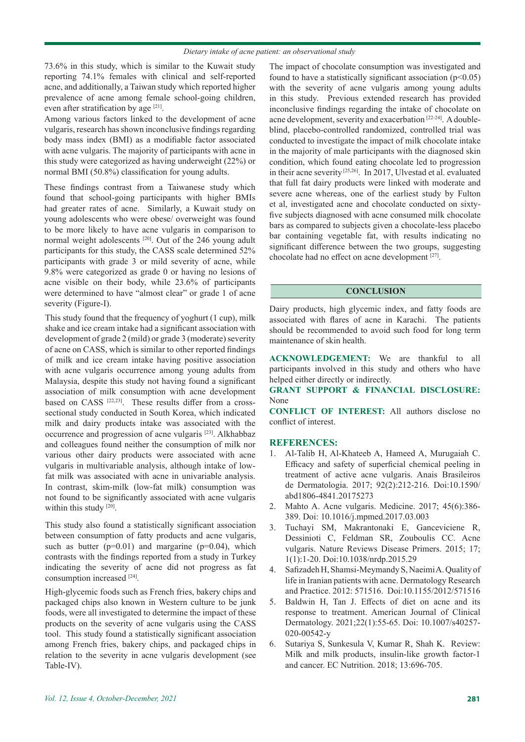73.6% in this study, which is similar to the Kuwait study reporting 74.1% females with clinical and self-reported acne, and additionally, a Taiwan study which reported higher prevalence of acne among female school-going children, even after stratification by age [21].

Among various factors linked to the development of acne vulgaris, research has shown inconclusive findings regarding body mass index (BMI) as a modifiable factor associated with acne vulgaris. The majority of participants with acne in this study were categorized as having underweight (22%) or normal BMI (50.8%) classification for young adults.

These findings contrast from a Taiwanese study which found that school-going participants with higher BMIs had greater rates of acne. Similarly, a Kuwait study on young adolescents who were obese/ overweight was found to be more likely to have acne vulgaris in comparison to normal weight adolescents [20]. Out of the 246 young adult participants for this study, the CASS scale determined 52% participants with grade 3 or mild severity of acne, while 9.8% were categorized as grade 0 or having no lesions of acne visible on their body, while 23.6% of participants were determined to have "almost clear" or grade 1 of acne severity (Figure-I).

This study found that the frequency of yoghurt (1 cup), milk shake and ice cream intake had a significant association with development of grade 2 (mild) or grade 3 (moderate) severity of acne on CASS, which is similar to other reported findings of milk and ice cream intake having positive association with acne vulgaris occurrence among young adults from Malaysia, despite this study not having found a significant association of milk consumption with acne development based on CASS<sup>[22,23]</sup>. These results differ from a crosssectional study conducted in South Korea, which indicated milk and dairy products intake was associated with the occurrence and progression of acne vulgaris [23]. Alkhabbaz and colleagues found neither the consumption of milk nor various other dairy products were associated with acne vulgaris in multivariable analysis, although intake of lowfat milk was associated with acne in univariable analysis. In contrast, skim-milk (low-fat milk) consumption was not found to be significantly associated with acne vulgaris within this study [20].

This study also found a statistically significant association between consumption of fatty products and acne vulgaris, such as butter  $(p=0.01)$  and margarine  $(p=0.04)$ , which contrasts with the findings reported from a study in Turkey indicating the severity of acne did not progress as fat consumption increased [24].

High-glycemic foods such as French fries, bakery chips and packaged chips also known in Western culture to be junk foods, were all investigated to determine the impact of these products on the severity of acne vulgaris using the CASS tool. This study found a statistically significant association among French fries, bakery chips, and packaged chips in relation to the severity in acne vulgaris development (see Table-IV).

The impact of chocolate consumption was investigated and found to have a statistically significant association  $(p<0.05)$ with the severity of acne vulgaris among young adults in this study. Previous extended research has provided inconclusive findings regarding the intake of chocolate on acne development, severity and exacerbation [22-24]. A doubleblind, placebo-controlled randomized, controlled trial was conducted to investigate the impact of milk chocolate intake in the majority of male participants with the diagnosed skin condition, which found eating chocolate led to progression in their acne severity [25,26]. In 2017, Ulvestad et al. evaluated that full fat dairy products were linked with moderate and severe acne whereas, one of the earliest study by Fulton et al, investigated acne and chocolate conducted on sixtyfive subjects diagnosed with acne consumed milk chocolate bars as compared to subjects given a chocolate-less placebo bar containing vegetable fat, with results indicating no significant difference between the two groups, suggesting chocolate had no effect on acne development [27].

#### **CONCLUSION**

Dairy products, high glycemic index, and fatty foods are associated with flares of acne in Karachi. The patients should be recommended to avoid such food for long term maintenance of skin health.

**ACKNOWLEDGEMENT:** We are thankful to all participants involved in this study and others who have helped either directly or indirectly.

### **GRANT SUPPORT & FINANCIAL DISCLOSURE:**  None

**CONFLICT OF INTEREST:** All authors disclose no conflict of interest.

### **REFERENCES:**

- 1. Al-Talib H, Al-Khateeb A, Hameed A, Murugaiah C. Efficacy and safety of superficial chemical peeling in treatment of active acne vulgaris. Anais Brasileiros de Dermatologia. 2017; 92(2):212-216. Doi:10.1590/ abd1806-4841.20175273
- 2. Mahto A. Acne vulgaris. Medicine. 2017; 45(6):386- 389. Doi: 10.1016/j.mpmed.2017.03.003
- 3. Tuchayi SM, Makrantonaki E, Ganceviciene R, Dessinioti C, Feldman SR, Zouboulis CC. Acne vulgaris. Nature Reviews Disease Primers. 2015; 17; 1(1):1-20. Doi:10.1038/nrdp.2015.29
- 4. Safizadeh H, Shamsi-Meymandy S, Naeimi A. Quality of life in Iranian patients with acne. Dermatology Research and Practice. 2012: 571516. Doi:10.1155/2012/571516
- 5. Baldwin H, Tan J. Effects of diet on acne and its response to treatment. American Journal of Clinical Dermatology. 2021;22(1):55-65. Doi: 10.1007/s40257- 020-00542-y
- 6. Sutariya S, Sunkesula V, Kumar R, Shah K. Review: Milk and milk products, insulin-like growth factor-1 and cancer. EC Nutrition. 2018; 13:696-705.